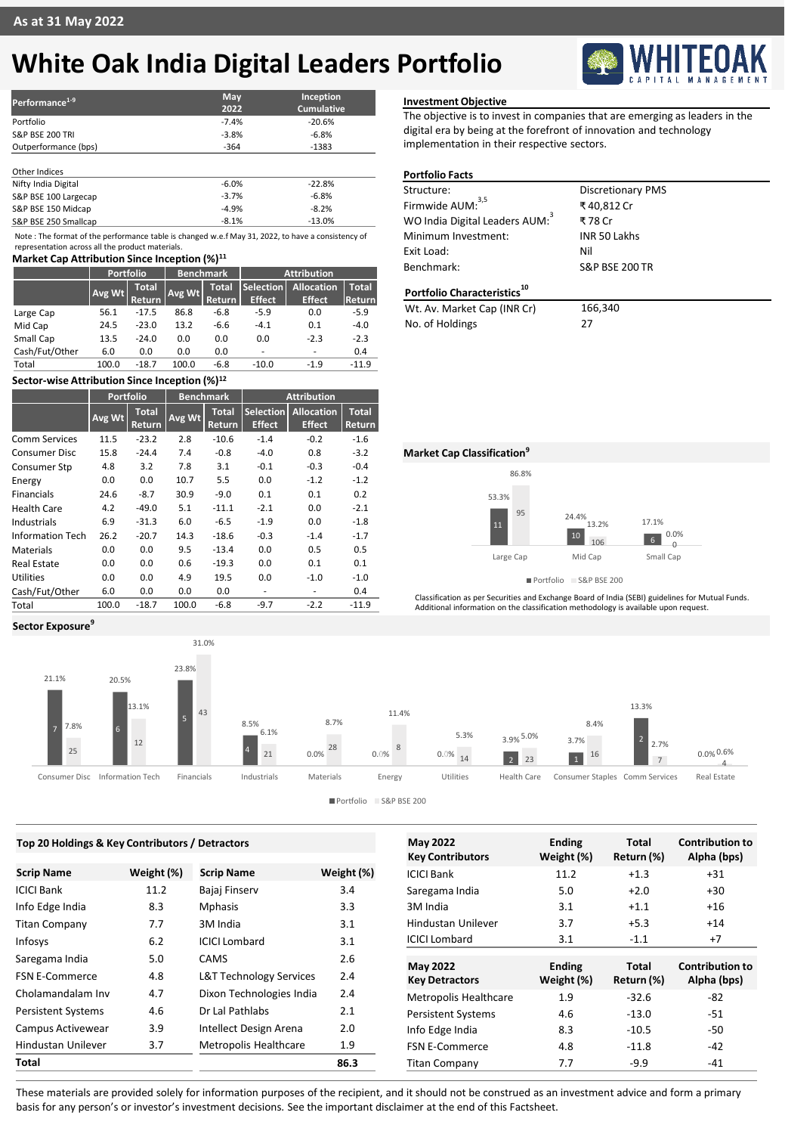# **White Oak India Digital Leaders Portfolio**



Note : The format of the performance table is changed w.e.f May 31, 2022, to have a consistency of representation across all the product materials.

## **Market Cap Attribution Since Inception (%)<sup>11</sup>**

| <b>IVIATKEL CAD ALLITDULION SINCE INCEDITION</b> |                        |                  |                               |                    |                                    |                         |
|--------------------------------------------------|------------------------|------------------|-------------------------------|--------------------|------------------------------------|-------------------------|
| Portfolio                                        |                        | <b>Benchmark</b> |                               | <b>Attribution</b> |                                    |                         |
| Avg Wt                                           | <b>Total</b><br>Return |                  | <b>Total</b><br><b>Return</b> | <b>Effect</b>      | <b>Allocation</b><br><b>Effect</b> | <b>Total</b><br> Return |
| 56.1                                             | $-17.5$                | 86.8             | $-6.8$                        | $-5.9$             | 0.0                                | $-5.9$                  |
| 24.5                                             | $-23.0$                | 13.2             | $-6.6$                        | $-4.1$             | 0.1                                | $-4.0$                  |
| 13.5                                             | $-24.0$                | 0.0              | 0.0                           | 0.0                | $-2.3$                             | $-2.3$                  |
| 6.0                                              | 0.0                    | 0.0              | 0.0                           |                    |                                    | 0.4                     |
| 100.0                                            | $-18.7$                | 100.0            | $-6.8$                        | $-10.0$            | $-1.9$                             | $-11.9$                 |
|                                                  |                        |                  |                               | Avg Wt             |                                    | <b>Selection</b>        |

## **Sector-wise Attribution Since Inception (%)<sup>12</sup>**

|                         | <b>Portfolio</b> |                        | <b>Benchmark</b> |                        | <b>Attribution</b>           |                                    |                        |
|-------------------------|------------------|------------------------|------------------|------------------------|------------------------------|------------------------------------|------------------------|
|                         | Avg Wt           | <b>Total</b><br>Return | Avg Wt           | <b>Total</b><br>Return | Selection<br><b>Effect</b>   | <b>Allocation</b><br><b>Effect</b> | <b>Total</b><br>Return |
| <b>Comm Services</b>    | 11.5             | $-23.2$                | 2.8              | $-10.6$                | $-1.4$                       | $-0.2$                             | $-1.6$                 |
| <b>Consumer Disc</b>    | 15.8             | $-24.4$                | 7.4              | $-0.8$                 | $-4.0$                       | 0.8                                | $-3.2$                 |
| Consumer Stp            | 4.8              | 3.2                    | 7.8              | 3.1                    | $-0.1$                       | $-0.3$                             | $-0.4$                 |
| Energy                  | 0.0              | 0.0                    | 10.7             | 5.5                    | 0.0                          | $-1.2$                             | $-1.2$                 |
| <b>Financials</b>       | 24.6             | $-8.7$                 | 30.9             | $-9.0$                 | 0.1                          | 0.1                                | 0.2                    |
| Health Care             | 4.2              | $-49.0$                | 5.1              | $-11.1$                | $-2.1$                       | 0.0                                | $-2.1$                 |
| Industrials             | 6.9              | $-31.3$                | 6.0              | $-6.5$                 | $-1.9$                       | 0.0                                | $-1.8$                 |
| <b>Information Tech</b> | 26.2             | $-20.7$                | 14.3             | $-18.6$                | $-0.3$                       | $-1.4$                             | $-1.7$                 |
| <b>Materials</b>        | 0.0              | 0.0                    | 9.5              | $-13.4$                | 0.0                          | 0.5                                | 0.5                    |
| <b>Real Estate</b>      | 0.0              | 0.0                    | 0.6              | $-19.3$                | 0.0                          | 0.1                                | 0.1                    |
| <b>Utilities</b>        | 0.0              | 0.0                    | 4.9              | 19.5                   | 0.0                          | $-1.0$                             | $-1.0$                 |
| Cash/Fut/Other          | 6.0              | 0.0                    | 0.0              | 0.0                    | $\qquad \qquad \blacksquare$ | ۰                                  | 0.4                    |
| Total                   | 100.0            | $-18.7$                | 100.0            | $-6.8$                 | $-9.7$                       | $-2.2$                             | $-11.9$                |

# **Investment Objective**

The objective is to invest in companies that are emerging as leaders in the digital era by being at the forefront of innovation and technology implementation in their respective sectors.

| <b>Portfolio Facts</b> |  |  |
|------------------------|--|--|
|                        |  |  |

| Structure:                                 | <b>Discretionary PMS</b>  |
|--------------------------------------------|---------------------------|
| Firmwide AUM: <sup>3,5</sup>               | ₹40,812 Cr                |
| WO India Digital Leaders AUM: <sup>3</sup> | ₹78 Cr                    |
| Minimum Investment:                        | <b>INR 50 Lakhs</b>       |
| Exit Load:                                 | Nil                       |
| Benchmark:                                 | <b>S&amp;P BSE 200 TR</b> |
| Portfolio Characteristics <sup>10</sup>    |                           |
| Wt. Av. Market Cap (INR Cr)                | 166,340                   |
| No. of Holdings                            | 27                        |

53.3% 24.4% 17.1% 86.8% 13.2% 0.0% 11  $10 \t 106$  6 95 106 6 0 Large Cap Mid Cap Small Cap **Market Cap Classification<sup>9</sup>**

Portfolio S&P BSE 200

Classification as per Securities and Exchange Board of India (SEBI) guidelines for Mutual Funds. Additional information on the classification methodology is available upon request.

### **Sector Exposure<sup>9</sup>**



Portfolio S&P BSE 200

### **May 2022 Key Contributors Ending Weight (%) Total Return (%) Contribution to Alpha (bps)** ICICI Bank 11.2 +1.3 +31 Saregama India  $5.0 +2.0 +30$ 3M India  $3.1$  +1.1 +16 Hindustan Unilever 3.7 +5.3 +14  $ICICI$  Lombard  $3.1$   $-1.1$   $+7$ **May 2022 Key Detractors Ending Weight (%) Total Return (%) Contribution to Alpha (bps)** Metropolis Healthcare 1.9 -32.6 -82 Persistent Systems 4.6 -13.0 -51 Info Edge India  $8.3$  -10.5 -50 FSN E-Commerce 4.8 -11.8 -42  $Titan Company$   $7.7$   $-9.9$   $-41$ **Scrip Name Weight (%)** ICICI Bank 11.2 Info Edge India 8.3 Titan Company 7.7 Infosys 6.2 Saregama India 5.0 FSN E-Commerce 4.8 Cholamandalam Inv 4.7 Persistent Systems 4.6 Campus Activewear 3.9 Hindustan Unilever 3.7 **Total Top 20 Holdings & Key Contributors / Detractors Scrip Name Weight (%)** Bajaj Finserv 3.4 Mphasis 3.3 3M India 3.1 ICICI Lombard 3.1 CAMS 2.6 L&T Technology Services 2.4 Dixon Technologies India 2.4 Dr Lal Pathlabs 2.1 Intellect Design Arena 2.0 Metropolis Healthcare 1.9 **86.3**

These materials are provided solely for information purposes of the recipient, and it should not be construed as an investment advice and form a primary basis for any person's or investor's investment decisions. See the important disclaimer at the end of this Factsheet.